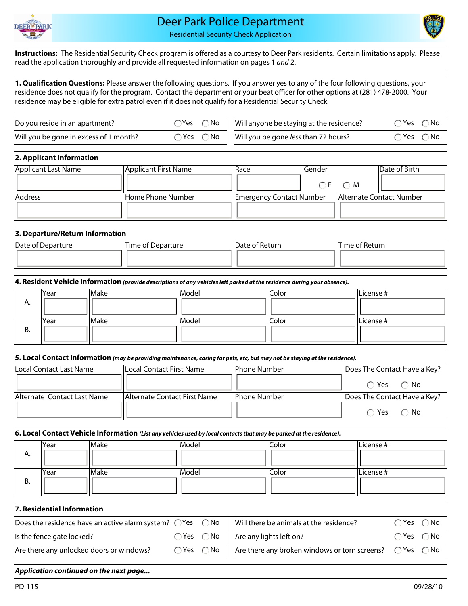

## Deer Park Police Department

Residential Security Check Application

**Instructions:** The Residential Security Check program is offered as a courtesy to Deer Park residents. Certain limitations apply. Please read the application thoroughly and provide all requested information on pages 1 *and* 2.

**1. Qualification Questions:** Please answer the following questions. If you answer yes to any of the four following questions, your residence does not qualify for the program. Contact the department or your beat officer for other options at (281) 478-2000. Your residence may be eligible for extra patrol even if it does not qualify for a Residential Security Check.

| Do you reside in an apartment?         | $\neg$ Yes $\sqrt{ }$ | $\bigcap$ No $\bigcup$               | Will anyone be staying at the residence? | ∩Yes ∩No                |              |
|----------------------------------------|-----------------------|--------------------------------------|------------------------------------------|-------------------------|--------------|
| Will you be gone in excess of 1 month? |                       | $\bigcap$ Yes $\bigcap$ No $\bigcup$ | Will you be gone less than 72 hours?     | $\bigcap$ Yes $\bigcup$ | $\bigcap$ No |

| 2. Applicant Information |                      |                                 |         |           |                                 |
|--------------------------|----------------------|---------------------------------|---------|-----------|---------------------------------|
| Applicant Last Name      | Applicant First Name | lRace                           | lGender |           | Date of Birth                   |
|                          |                      |                                 |         | $OF$ $OM$ |                                 |
| <b>Address</b>           | lHome Phone Number   | <b>Emergency Contact Number</b> |         |           | <b>Alternate Contact Number</b> |
|                          |                      |                                 |         |           |                                 |

## **3. Departure/Return Information**

| Date of Departure | Time of Departure | Date of Return | <b>Time of Return</b> |
|-------------------|-------------------|----------------|-----------------------|
|                   |                   |                |                       |
|                   |                   |                |                       |

|    | 4. Resident Vehicle Information (provide descriptions of any vehicles left parked at the residence during your absence). |       |       |       |            |  |  |  |
|----|--------------------------------------------------------------------------------------------------------------------------|-------|-------|-------|------------|--|--|--|
|    | lYear                                                                                                                    | lMake | Model | Color | lLicense # |  |  |  |
| Α. |                                                                                                                          |       |       |       |            |  |  |  |
|    |                                                                                                                          |       |       |       |            |  |  |  |
|    | lYear                                                                                                                    | Make  | Model | Color | lLicense # |  |  |  |
| В. |                                                                                                                          |       |       |       |            |  |  |  |
|    |                                                                                                                          |       |       |       |            |  |  |  |

| 5. Local Contact Information (may be providing maintenance, caring for pets, etc, but may not be staying at the residence). |                               |                      |                              |  |  |  |  |  |
|-----------------------------------------------------------------------------------------------------------------------------|-------------------------------|----------------------|------------------------------|--|--|--|--|--|
| Local Contact Last Name                                                                                                     | lLocal Contact First Name     | <b>IPhone Number</b> | Does The Contact Have a Key? |  |  |  |  |  |
|                                                                                                                             |                               |                      | $\bigcap$ Yes $\bigcap$ No   |  |  |  |  |  |
| Alternate Contact Last Name                                                                                                 | lAlternate Contact First Name | <b>IPhone Number</b> | Does The Contact Have a Key? |  |  |  |  |  |
|                                                                                                                             |                               |                      | $\bigcap$ Yes $\bigcap$ No   |  |  |  |  |  |

| 6. Local Contact Vehicle Information (List any vehicles used by local contacts that may be parked at the residence). |      |             |       |       |           |  |  |
|----------------------------------------------------------------------------------------------------------------------|------|-------------|-------|-------|-----------|--|--|
|                                                                                                                      | Year | Make        | Model | Color | License # |  |  |
| Α.                                                                                                                   |      |             |       |       |           |  |  |
|                                                                                                                      |      |             |       |       |           |  |  |
|                                                                                                                      | Year | <b>Make</b> | Model | Color | License # |  |  |
| В.                                                                                                                   |      |             |       |       |           |  |  |
|                                                                                                                      |      |             |       |       |           |  |  |

| 7. Residential Information                                                   |  |                            |                                                                            |               |              |  |  |  |
|------------------------------------------------------------------------------|--|----------------------------|----------------------------------------------------------------------------|---------------|--------------|--|--|--|
| Does the residence have an active alarm system? $\bigcirc$ Yes $\bigcirc$ No |  |                            | Will there be animals at the residence?                                    | $\bigcap$ Yes | $\bigcap$ No |  |  |  |
| Is the fence gate locked?                                                    |  | $\bigcap$ Yes $\bigcap$ No | Are any lights left on?                                                    | ⊖ Yes         | $\bigcap$ No |  |  |  |
| Are there any unlocked doors or windows?                                     |  | $\bigcap$ Yes $\bigcap$ No | Are there any broken windows or torn screens? $\bigcirc$ Yes $\bigcirc$ No |               |              |  |  |  |

## *Application continued on the next page...*